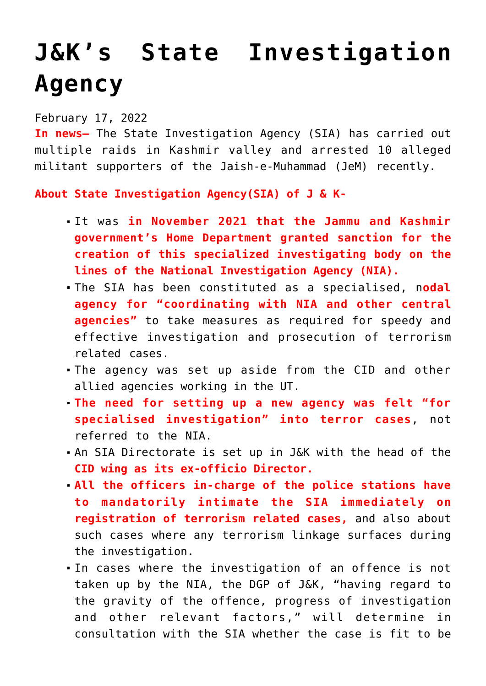## **[J&K's State Investigation](https://journalsofindia.com/jks-state-investigation-agency/) [Agency](https://journalsofindia.com/jks-state-investigation-agency/)**

February 17, 2022

**In news–** The State Investigation Agency (SIA) has carried out multiple raids in Kashmir valley and arrested 10 alleged militant supporters of the Jaish-e-Muhammad (JeM) recently.

**About State Investigation Agency(SIA) of J & K-**

- It was **in November 2021 that the Jammu and Kashmir government's Home Department granted sanction for the creation of this specialized investigating body on the lines of the National Investigation Agency (NIA).**
- The SIA has been constituted as a specialised, n**odal agency for "coordinating with NIA and other central agencies"** to take measures as required for speedy and effective investigation and prosecution of terrorism related cases.
- The agency was set up aside from the CID and other allied agencies working in the UT.
- **The need for setting up a new agency was felt "for specialised investigation" into terror cases**, not referred to the NIA.
- An SIA Directorate is set up in J&K with the head of the **CID wing as its ex-officio Director.**
- **All the officers in-charge of the police stations have to mandatorily intimate the SIA immediately on registration of terrorism related cases,** and also about such cases where any terrorism linkage surfaces during the investigation.
- In cases where the investigation of an offence is not taken up by the NIA, the DGP of J&K, "having regard to the gravity of the offence, progress of investigation and other relevant factors," will determine in consultation with the SIA whether the case is fit to be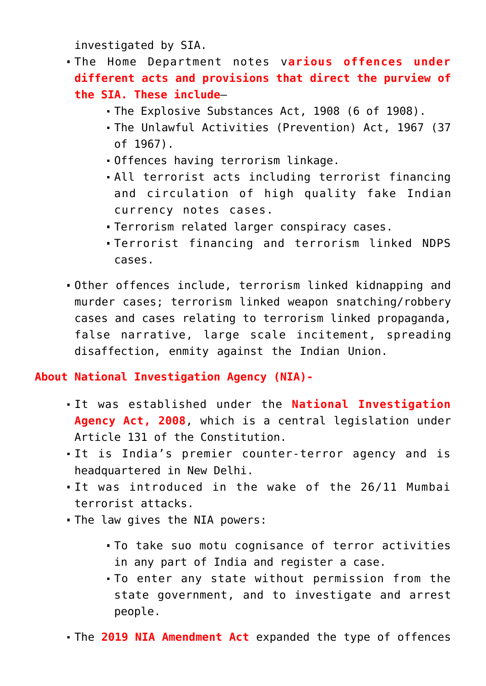investigated by SIA.

- The Home Department notes v**arious offences under different acts and provisions that direct the purview of the SIA. These include**–
	- The Explosive Substances Act, 1908 (6 of 1908).
	- The Unlawful Activities (Prevention) Act, 1967 (37 of 1967).
	- Offences having terrorism linkage.
	- All terrorist acts including terrorist financing and circulation of high quality fake Indian currency notes cases.
	- Terrorism related larger conspiracy cases.
	- Terrorist financing and terrorism linked NDPS cases.
- Other offences include, terrorism linked kidnapping and murder cases; terrorism linked weapon snatching/robbery cases and cases relating to terrorism linked propaganda, false narrative, large scale incitement, spreading disaffection, enmity against the Indian Union.

**About National Investigation Agency (NIA)-**

- It was established under the **National Investigation Agency Act, 2008**, which is a central legislation under Article 131 of the Constitution.
- It is India's premier counter-terror agency and is headquartered in New Delhi.
- It was introduced in the wake of the 26/11 Mumbai terrorist attacks.
- The law gives the NIA powers:
	- To take suo motu cognisance of terror activities in any part of India and register a case.
	- To enter any state without permission from the state government, and to investigate and arrest people.
- The **2019 NIA Amendment Act** expanded the type of offences